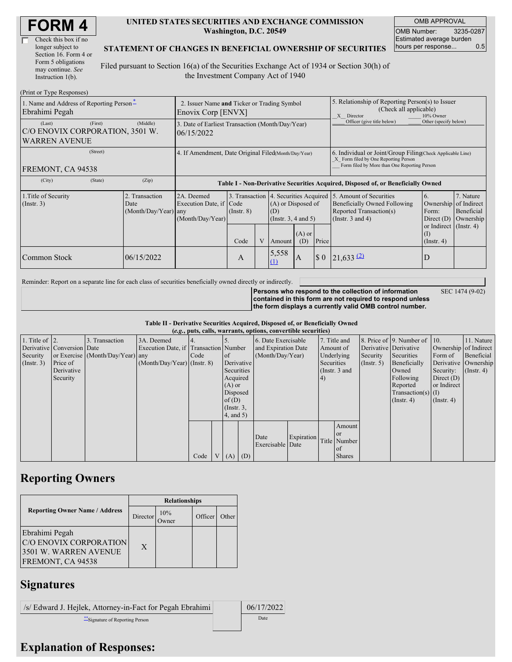| Check this box if no  |
|-----------------------|
| longer subject to     |
| Section 16. Form 4 or |
| Form 5 obligations    |
| may continue. See     |
| Instruction 1(b).     |

#### **UNITED STATES SECURITIES AND EXCHANGE COMMISSION Washington, D.C. 20549**

OMB APPROVAL OMB Number: 3235-0287 Estimated average burden hours per response... 0.5

#### **STATEMENT OF CHANGES IN BENEFICIAL OWNERSHIP OF SECURITIES**

Filed pursuant to Section 16(a) of the Securities Exchange Act of 1934 or Section 30(h) of the Investment Company Act of 1940

| (Print or Type Responses)                                                    |                                                                   |                                                           |                 |  |                                                                                                            |     |                                                                                                                                                    |                                                                                                             |                                                                                 |                                                     |
|------------------------------------------------------------------------------|-------------------------------------------------------------------|-----------------------------------------------------------|-----------------|--|------------------------------------------------------------------------------------------------------------|-----|----------------------------------------------------------------------------------------------------------------------------------------------------|-------------------------------------------------------------------------------------------------------------|---------------------------------------------------------------------------------|-----------------------------------------------------|
| 1. Name and Address of Reporting Person-<br>Ebrahimi Pegah                   | 2. Issuer Name and Ticker or Trading Symbol<br>Enovix Corp [ENVX] |                                                           |                 |  |                                                                                                            |     | 5. Relationship of Reporting Person(s) to Issuer<br>(Check all applicable)<br>10% Owner<br>X Director                                              |                                                                                                             |                                                                                 |                                                     |
| (First)<br>(Last)<br>C/O ENOVIX CORPORATION, 3501 W.<br><b>WARREN AVENUE</b> | 3. Date of Earliest Transaction (Month/Day/Year)<br>06/15/2022    |                                                           |                 |  |                                                                                                            |     | Officer (give title below)                                                                                                                         | Other (specify below)                                                                                       |                                                                                 |                                                     |
| (Street)<br>FREMONT, CA 94538                                                | 4. If Amendment, Date Original Filed(Month/Day/Year)              |                                                           |                 |  |                                                                                                            |     | 6. Individual or Joint/Group Filing Check Applicable Line)<br>X Form filed by One Reporting Person<br>Form filed by More than One Reporting Person |                                                                                                             |                                                                                 |                                                     |
| (City)<br>(State)                                                            | (Zip)                                                             |                                                           |                 |  |                                                                                                            |     | Table I - Non-Derivative Securities Acquired, Disposed of, or Beneficially Owned                                                                   |                                                                                                             |                                                                                 |                                                     |
| 1. Title of Security<br>$($ Instr. 3 $)$                                     | 2. Transaction<br>Date<br>(Month/Day/Year) any                    | 2A. Deemed<br>Execution Date, if Code<br>(Month/Day/Year) | $($ Instr. $8)$ |  | 3. Transaction 4. Securities Acquired<br>(A) or Disposed of<br>(D)<br>(Instr. $3, 4$ and $5$ )<br>$(A)$ or |     |                                                                                                                                                    | 5. Amount of Securities<br>Beneficially Owned Following<br>Reported Transaction(s)<br>(Instr. $3$ and $4$ ) | 6.<br>Ownership<br>Form:<br>Direct $(D)$<br>or Indirect $($ Instr. 4 $)$<br>(1) | 7. Nature<br>of Indirect<br>Beneficial<br>Ownership |
|                                                                              |                                                                   |                                                           | Code            |  | Amount                                                                                                     | (D) | Price                                                                                                                                              |                                                                                                             | $($ Instr. 4 $)$                                                                |                                                     |
| Common Stock                                                                 | 06/15/2022                                                        |                                                           | A               |  | 5,558<br>(1)                                                                                               | A   | $\sqrt{5}0$                                                                                                                                        | $21,633$ $(2)$                                                                                              | D                                                                               |                                                     |

Reminder: Report on a separate line for each class of securities beneficially owned directly or indirectly.

**Persons who respond to the collection of information contained in this form are not required to respond unless the form displays a currently valid OMB control number.**

SEC 1474 (9-02)

**Table II - Derivative Securities Acquired, Disposed of, or Beneficially Owned**

|                        | (e.g., puts, calls, warrants, options, convertible securities) |                                  |                                       |      |                |                 |     |                     |            |            |               |                  |                              |                       |                  |
|------------------------|----------------------------------------------------------------|----------------------------------|---------------------------------------|------|----------------|-----------------|-----|---------------------|------------|------------|---------------|------------------|------------------------------|-----------------------|------------------|
| 1. Title of $\vert$ 2. |                                                                | 3. Transaction                   | 3A. Deemed                            |      |                |                 |     | 6. Date Exercisable |            |            | 7. Title and  |                  | 8. Price of 9. Number of 10. |                       | 11. Nature       |
|                        | Derivative Conversion Date                                     |                                  | Execution Date, if Transaction Number |      |                |                 |     | and Expiration Date |            | Amount of  |               |                  | Derivative Derivative        | Ownership of Indirect |                  |
| Security               |                                                                | or Exercise (Month/Day/Year) any |                                       | Code |                | of              |     | (Month/Day/Year)    |            |            | Underlying    | Security         | Securities                   | Form of               | Beneficial       |
| (Insert. 3)            | Price of                                                       |                                  | $(Month/Day/Year)$ (Instr. 8)         |      |                | Derivative      |     |                     |            | Securities |               | $($ Instr. 5 $)$ | Beneficially                 | Derivative Ownership  |                  |
|                        | Derivative                                                     |                                  |                                       |      |                | Securities      |     |                     |            |            | (Instr. 3 and |                  | Owned                        | Security:             | $($ Instr. 4 $)$ |
|                        | Security                                                       |                                  |                                       |      |                | Acquired        |     |                     |            | 4)         |               |                  | Following                    | Direct $(D)$          |                  |
|                        |                                                                |                                  |                                       |      |                | $(A)$ or        |     |                     |            |            |               |                  | Reported                     | or Indirect           |                  |
|                        |                                                                |                                  |                                       |      |                | Disposed        |     |                     |            |            |               |                  | $Transaction(s)$ (I)         |                       |                  |
|                        |                                                                |                                  |                                       |      |                | of(D)           |     |                     |            |            |               |                  | $($ Instr. 4 $)$             | $($ Instr. 4 $)$      |                  |
|                        |                                                                |                                  |                                       |      |                | $($ Instr. $3,$ |     |                     |            |            |               |                  |                              |                       |                  |
|                        |                                                                |                                  |                                       |      |                | $4$ , and $5$ ) |     |                     |            |            |               |                  |                              |                       |                  |
|                        |                                                                |                                  |                                       |      |                |                 |     |                     |            |            | Amount        |                  |                              |                       |                  |
|                        |                                                                |                                  |                                       |      |                |                 |     |                     |            |            | <b>or</b>     |                  |                              |                       |                  |
|                        |                                                                |                                  |                                       |      |                |                 |     | Date                | Expiration |            | Title Number  |                  |                              |                       |                  |
|                        |                                                                |                                  |                                       |      |                |                 |     | Exercisable Date    |            |            | of of         |                  |                              |                       |                  |
|                        |                                                                |                                  |                                       | Code | V <sub>1</sub> | (A)             | (D) |                     |            |            | <b>Shares</b> |                  |                              |                       |                  |

## **Reporting Owners**

|                                                                                        | <b>Relationships</b> |              |         |       |  |  |  |
|----------------------------------------------------------------------------------------|----------------------|--------------|---------|-------|--|--|--|
| <b>Reporting Owner Name / Address</b>                                                  | Director             | 10%<br>Dwner | Officer | Other |  |  |  |
| Ebrahimi Pegah<br>C/O ENOVIX CORPORATION<br>3501 W. WARREN AVENUE<br>FREMONT, CA 94538 | $\mathbf{X}$         |              |         |       |  |  |  |

### **Signatures**

/s/ Edward J. Hejlek, Attorney-in-Fact for Pegah Ebrahimi | 06/17/2022 \*\*Signature of Reporting Person Date

# **Explanation of Responses:**